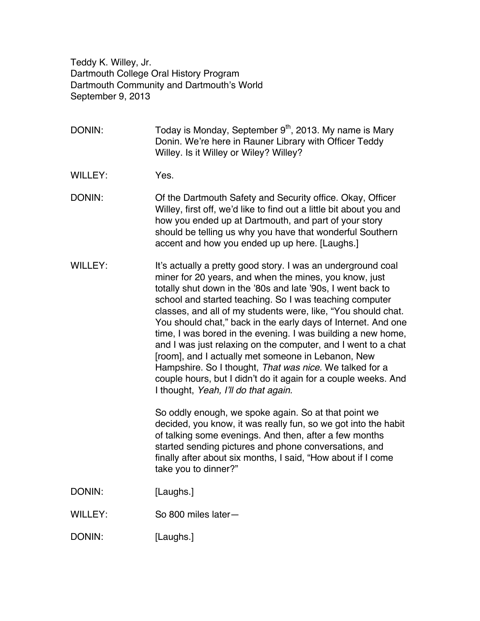Teddy K. Willey, Jr. Dartmouth College Oral History Program Dartmouth Community and Dartmouth's World September 9, 2013

DONIN: Today is Monday, September  $9<sup>th</sup>$ , 2013. My name is Mary Donin. We're here in Rauner Library with Officer Teddy Willey. Is it Willey or Wiley? Willey?

- WILLEY: Yes.
- DONIN: Of the Dartmouth Safety and Security office. Okay, Officer Willey, first off, we'd like to find out a little bit about you and how you ended up at Dartmouth, and part of your story should be telling us why you have that wonderful Southern accent and how you ended up up here. [Laughs.]
- WILLEY: It's actually a pretty good story. I was an underground coal miner for 20 years, and when the mines, you know, just totally shut down in the '80s and late '90s, I went back to school and started teaching. So I was teaching computer classes, and all of my students were, like, "You should chat. You should chat," back in the early days of Internet. And one time, I was bored in the evening. I was building a new home, and I was just relaxing on the computer, and I went to a chat [room], and I actually met someone in Lebanon, New Hampshire. So I thought, *That was nice.* We talked for a couple hours, but I didn't do it again for a couple weeks. And I thought, *Yeah, I'll do that again.*

So oddly enough, we spoke again. So at that point we decided, you know, it was really fun, so we got into the habit of talking some evenings. And then, after a few months started sending pictures and phone conversations, and finally after about six months, I said, "How about if I come take you to dinner?"

- DONIN: [Laughs.]
- WILLEY: So 800 miles later-
- DONIN: [Laughs.]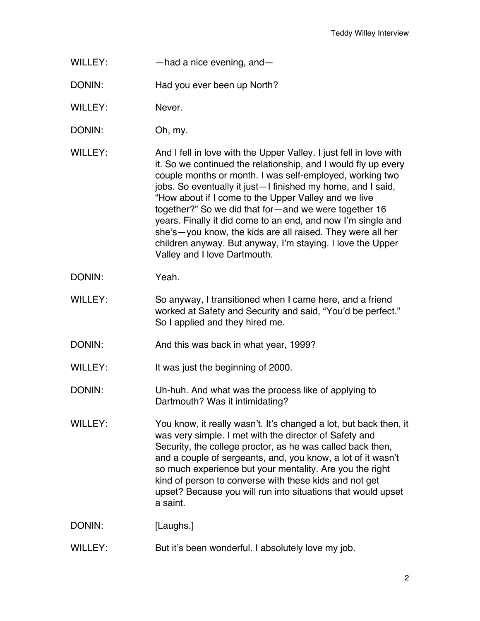- WILLEY: had a nice evening, and
- DONIN: Had you ever been up North?
- WILLEY: Never.
- DONIN: Oh, my.
- WILLEY: And I fell in love with the Upper Valley. I just fell in love with it. So we continued the relationship, and I would fly up every couple months or month. I was self-employed, working two jobs. So eventually it just—I finished my home, and I said, "How about if I come to the Upper Valley and we live together?" So we did that for—and we were together 16 years. Finally it did come to an end, and now I'm single and she's—you know, the kids are all raised. They were all her children anyway. But anyway, I'm staying. I love the Upper Valley and I love Dartmouth.
- DONIN: Yeah.
- WILLEY: So anyway, I transitioned when I came here, and a friend worked at Safety and Security and said, "You'd be perfect." So I applied and they hired me.
- DONIN: And this was back in what year, 1999?

WILLEY: It was just the beginning of 2000.

- DONIN: Uh-huh. And what was the process like of applying to Dartmouth? Was it intimidating?
- WILLEY: You know, it really wasn't. It's changed a lot, but back then, it was very simple. I met with the director of Safety and Security, the college proctor, as he was called back then, and a couple of sergeants, and, you know, a lot of it wasn't so much experience but your mentality. Are you the right kind of person to converse with these kids and not get upset? Because you will run into situations that would upset a saint.

DONIN: [Laughs.]

WILLEY: But it's been wonderful. I absolutely love my job.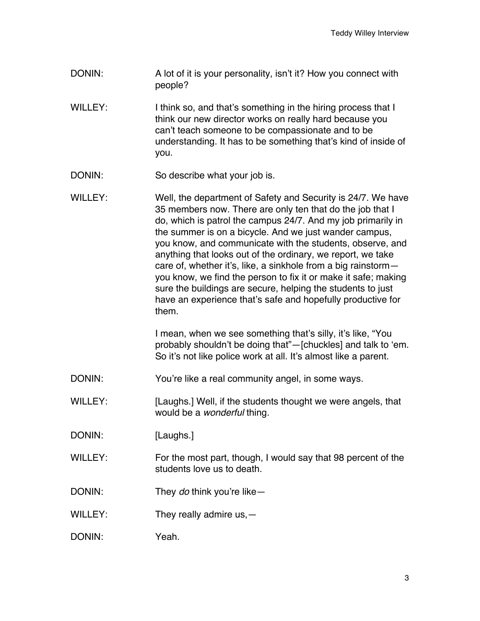- DONIN: A lot of it is your personality, isn't it? How you connect with people?
- WILLEY: I think so, and that's something in the hiring process that I think our new director works on really hard because you can't teach someone to be compassionate and to be understanding. It has to be something that's kind of inside of you.
- DONIN: So describe what your job is.
- WILLEY: Well, the department of Safety and Security is 24/7. We have 35 members now. There are only ten that do the job that I do, which is patrol the campus 24/7. And my job primarily in the summer is on a bicycle. And we just wander campus, you know, and communicate with the students, observe, and anything that looks out of the ordinary, we report, we take care of, whether it's, like, a sinkhole from a big rainstorm you know, we find the person to fix it or make it safe; making sure the buildings are secure, helping the students to just have an experience that's safe and hopefully productive for them.

I mean, when we see something that's silly, it's like, "You probably shouldn't be doing that"—[chuckles] and talk to 'em. So it's not like police work at all. It's almost like a parent.

- DONIN: You're like a real community angel, in some ways.
- WILLEY: [Laughs.] Well, if the students thought we were angels, that would be a *wonderful* thing.
- DONIN: [Laughs.]
- WILLEY: For the most part, though, I would say that 98 percent of the students love us to death.
- DONIN: They *do* think you're like—
- WILLEY: They really admire us, -
- DONIN: Yeah.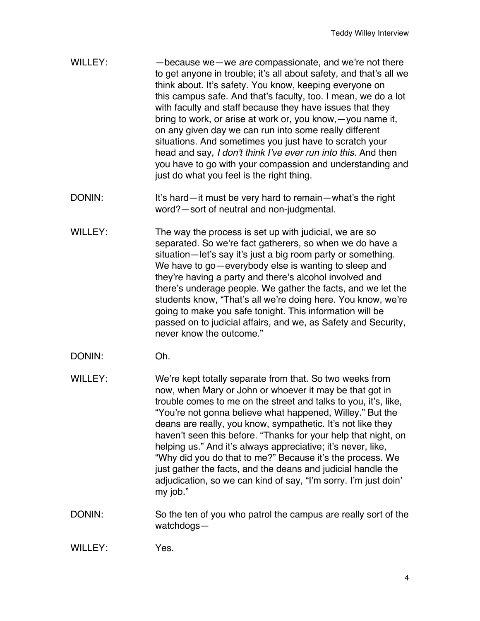- WILLEY: —because we—we *are* compassionate, and we're not there to get anyone in trouble; it's all about safety, and that's all we think about. It's safety. You know, keeping everyone on this campus safe. And that's faculty, too. I mean, we do a lot with faculty and staff because they have issues that they bring to work, or arise at work or, you know,—you name it, on any given day we can run into some really different situations. And sometimes you just have to scratch your head and say, *I don't think I've ever run into this.* And then you have to go with your compassion and understanding and just do what you feel is the right thing.
- DONIN: It's hard—it must be very hard to remain—what's the right word?—sort of neutral and non-judgmental.
- WILLEY: The way the process is set up with judicial, we are so separated. So we're fact gatherers, so when we do have a situation—let's say it's just a big room party or something. We have to go—everybody else is wanting to sleep and they're having a party and there's alcohol involved and there's underage people. We gather the facts, and we let the students know, "That's all we're doing here. You know, we're going to make you safe tonight. This information will be passed on to judicial affairs, and we, as Safety and Security, never know the outcome."
- DONIN: Oh.
- WILLEY: We're kept totally separate from that. So two weeks from now, when Mary or John or whoever it may be that got in trouble comes to me on the street and talks to you, it's, like, "You're not gonna believe what happened, Willey." But the deans are really, you know, sympathetic. It's not like they haven't seen this before. "Thanks for your help that night, on helping us." And it's always appreciative; it's never, like, "Why did you do that to me?" Because it's the process. We just gather the facts, and the deans and judicial handle the adjudication, so we can kind of say, "I'm sorry. I'm just doin' my job."
- DONIN: So the ten of you who patrol the campus are really sort of the watchdogs—

WILLEY: Yes.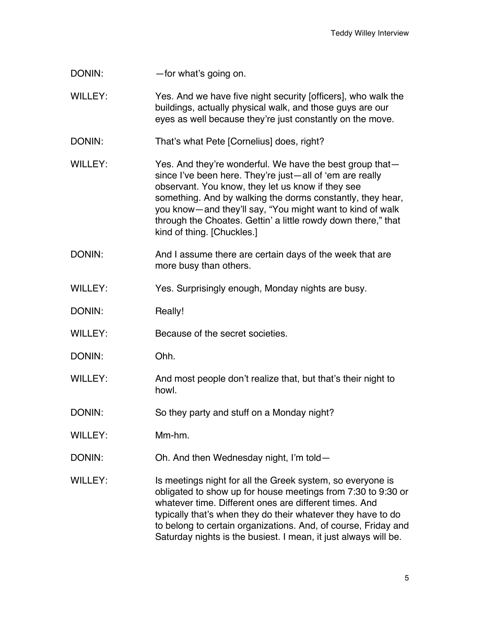| DONIN: | -for what's going on. |
|--------|-----------------------|
|--------|-----------------------|

WILLEY: Yes. And we have five night security [officers], who walk the buildings, actually physical walk, and those guys are our eyes as well because they're just constantly on the move.

- DONIN: That's what Pete [Cornelius] does, right?
- WILLEY: Yes. And they're wonderful. We have the best group thatsince I've been here. They're just—all of 'em are really observant. You know, they let us know if they see something. And by walking the dorms constantly, they hear, you know—and they'll say, "You might want to kind of walk through the Choates. Gettin' a little rowdy down there," that kind of thing. [Chuckles.]
- DONIN: And I assume there are certain days of the week that are more busy than others.
- WILLEY: Yes. Surprisingly enough, Monday nights are busy.
- DONIN: Really!
- WILLEY: Because of the secret societies.
- DONIN: Ohh.
- WILLEY: And most people don't realize that, but that's their night to howl.
- DONIN: So they party and stuff on a Monday night?
- WILLEY: Mm-hm.
- DONIN: Oh. And then Wednesday night, I'm told—
- WILLEY: Is meetings night for all the Greek system, so everyone is obligated to show up for house meetings from 7:30 to 9:30 or whatever time. Different ones are different times. And typically that's when they do their whatever they have to do to belong to certain organizations. And, of course, Friday and Saturday nights is the busiest. I mean, it just always will be.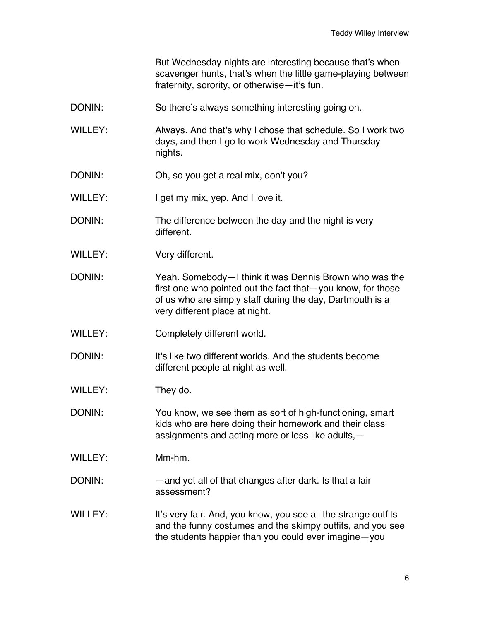But Wednesday nights are interesting because that's when scavenger hunts, that's when the little game-playing between fraternity, sorority, or otherwise—it's fun.

- DONIN: So there's always something interesting going on.
- WILLEY: Always. And that's why I chose that schedule. So I work two days, and then I go to work Wednesday and Thursday nights.
- DONIN: Oh, so you get a real mix, don't you?
- WILLEY: I get my mix, yep. And I love it.
- DONIN: The difference between the day and the night is very different.
- WILLEY: Very different.
- DONIN: Yeah. Somebody—I think it was Dennis Brown who was the first one who pointed out the fact that—you know, for those of us who are simply staff during the day, Dartmouth is a very different place at night.
- WILLEY: Completely different world.
- DONIN: It's like two different worlds. And the students become different people at night as well.
- WILLEY: They do.
- DONIN: You know, we see them as sort of high-functioning, smart kids who are here doing their homework and their class assignments and acting more or less like adults,—
- WILLEY: Mm-hm.
- DONIN: and yet all of that changes after dark. Is that a fair assessment?
- WILLEY: It's very fair. And, you know, you see all the strange outfits and the funny costumes and the skimpy outfits, and you see the students happier than you could ever imagine—you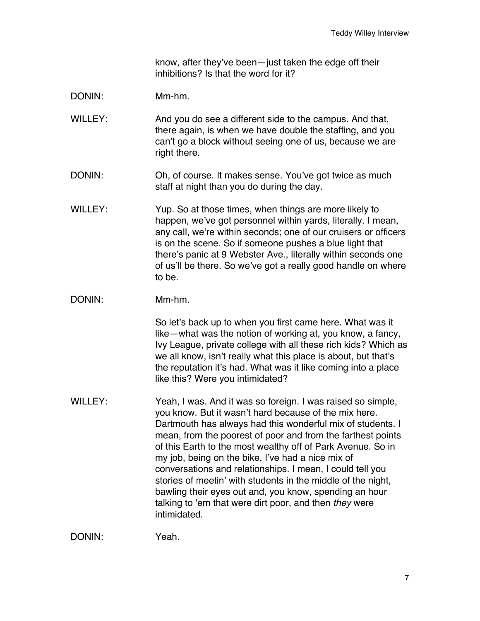know, after they've been—just taken the edge off their inhibitions? Is that the word for it?

- DONIN: Mm-hm.
- WILLEY: And you do see a different side to the campus. And that, there again, is when we have double the staffing, and you can't go a block without seeing one of us, because we are right there.
- DONIN: Oh, of course. It makes sense. You've got twice as much staff at night than you do during the day.
- WILLEY: Yup. So at those times, when things are more likely to happen, we've got personnel within yards, literally. I mean, any call, we're within seconds; one of our cruisers or officers is on the scene. So if someone pushes a blue light that there's panic at 9 Webster Ave., literally within seconds one of us'll be there. So we've got a really good handle on where to be.
- DONIN: Mm-hm.

So let's back up to when you first came here. What was it like—what was the notion of working at, you know, a fancy, Ivy League, private college with all these rich kids? Which as we all know, isn't really what this place is about, but that's the reputation it's had. What was it like coming into a place like this? Were you intimidated?

WILLEY: Yeah, I was. And it was so foreign. I was raised so simple, you know. But it wasn't hard because of the mix here. Dartmouth has always had this wonderful mix of students. I mean, from the poorest of poor and from the farthest points of this Earth to the most wealthy off of Park Avenue. So in my job, being on the bike, I've had a nice mix of conversations and relationships. I mean, I could tell you stories of meetin' with students in the middle of the night, bawling their eyes out and, you know, spending an hour talking to 'em that were dirt poor, and then *they* were intimidated.

DONIN: Yeah.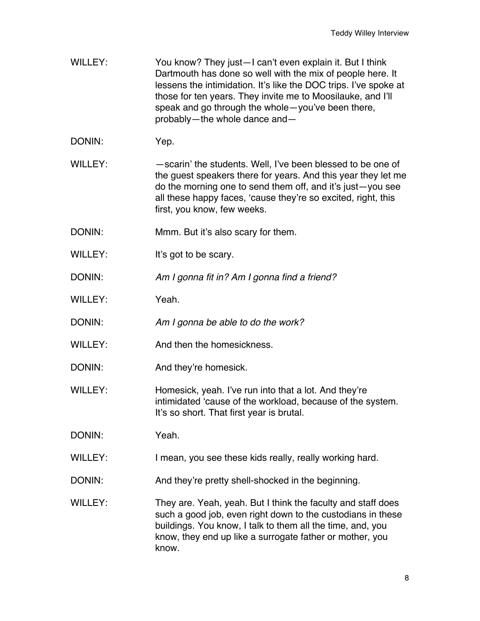- WILLEY: You know? They just—I can't even explain it. But I think Dartmouth has done so well with the mix of people here. It lessens the intimidation. It's like the DOC trips. I've spoke at those for ten years. They invite me to Moosilauke, and I'll speak and go through the whole—you've been there, probably—the whole dance and—
- DONIN: Yep.
- WILLEY: scarin' the students. Well, I've been blessed to be one of the guest speakers there for years. And this year they let me do the morning one to send them off, and it's just—you see all these happy faces, 'cause they're so excited, right, this first, you know, few weeks.
- DONIN: Mmm. But it's also scary for them.
- WILLEY: It's got to be scary.
- DONIN: *Am I gonna fit in? Am I gonna find a friend?*
- WILLEY: Yeah.
- DONIN: *Am I gonna be able to do the work?*
- WILLEY: And then the homesickness.
- DONIN: And they're homesick.
- WILLEY: Homesick, yeah. I've run into that a lot. And they're intimidated 'cause of the workload, because of the system. It's so short. That first year is brutal.
- DONIN: Yeah.
- WILLEY: I mean, you see these kids really, really working hard.
- DONIN: And they're pretty shell-shocked in the beginning.
- WILLEY: They are. Yeah, yeah. But I think the faculty and staff does such a good job, even right down to the custodians in these buildings. You know, I talk to them all the time, and, you know, they end up like a surrogate father or mother, you know.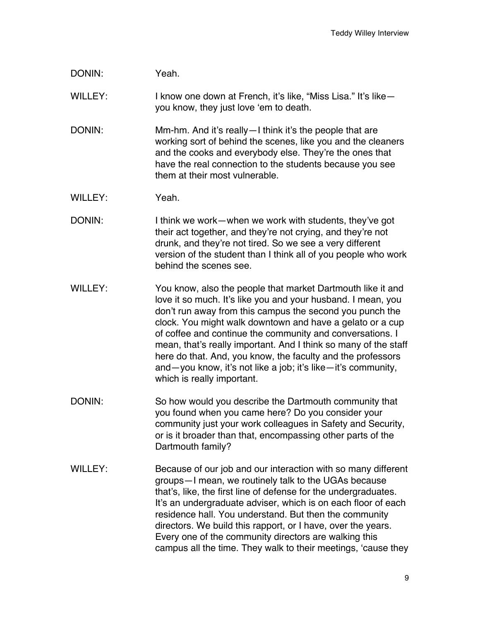## DONIN: Yeah.

WILLEY: I know one down at French, it's like, "Miss Lisa." It's likeyou know, they just love 'em to death.

- DONIN: Mm-hm. And it's really—I think it's the people that are working sort of behind the scenes, like you and the cleaners and the cooks and everybody else. They're the ones that have the real connection to the students because you see them at their most vulnerable.
- WILLEY: Yeah.
- DONIN: I think we work—when we work with students, they've got their act together, and they're not crying, and they're not drunk, and they're not tired. So we see a very different version of the student than I think all of you people who work behind the scenes see.
- WILLEY: You know, also the people that market Dartmouth like it and love it so much. It's like you and your husband. I mean, you don't run away from this campus the second you punch the clock. You might walk downtown and have a gelato or a cup of coffee and continue the community and conversations. I mean, that's really important. And I think so many of the staff here do that. And, you know, the faculty and the professors and—you know, it's not like a job; it's like—it's community, which is really important.
- DONIN: So how would you describe the Dartmouth community that you found when you came here? Do you consider your community just your work colleagues in Safety and Security, or is it broader than that, encompassing other parts of the Dartmouth family?
- WILLEY: Because of our job and our interaction with so many different groups—I mean, we routinely talk to the UGAs because that's, like, the first line of defense for the undergraduates. It's an undergraduate adviser, which is on each floor of each residence hall. You understand. But then the community directors. We build this rapport, or I have, over the years. Every one of the community directors are walking this campus all the time. They walk to their meetings, 'cause they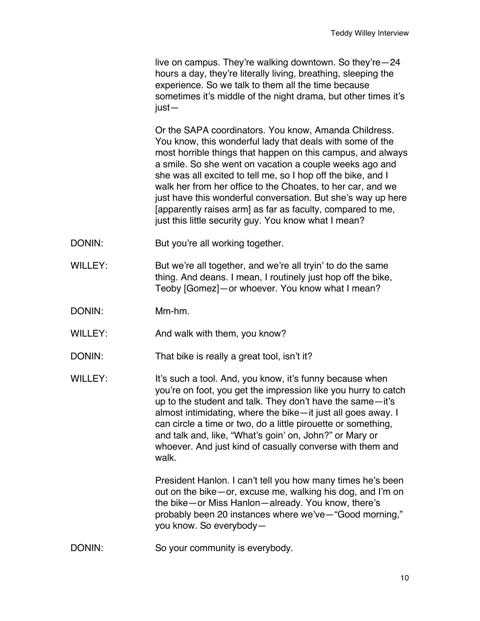live on campus. They're walking downtown. So they're—24 hours a day, they're literally living, breathing, sleeping the experience. So we talk to them all the time because sometimes it's middle of the night drama, but other times it's just—

Or the SAPA coordinators. You know, Amanda Childress. You know, this wonderful lady that deals with some of the most horrible things that happen on this campus, and always a smile. So she went on vacation a couple weeks ago and she was all excited to tell me, so I hop off the bike, and I walk her from her office to the Choates, to her car, and we just have this wonderful conversation. But she's way up here [apparently raises arm] as far as faculty, compared to me, just this little security guy. You know what I mean?

- DONIN: But you're all working together.
- WILLEY: But we're all together, and we're all tryin' to do the same thing. And deans. I mean, I routinely just hop off the bike, Teoby [Gomez]—or whoever. You know what I mean?
- DONIN: Mm-hm.
- WILLEY: And walk with them, you know?
- DONIN: That bike is really a great tool, isn't it?
- WILLEY: It's such a tool. And, you know, it's funny because when you're on foot, you get the impression like you hurry to catch up to the student and talk. They don't have the same—it's almost intimidating, where the bike—it just all goes away. I can circle a time or two, do a little pirouette or something, and talk and, like, "What's goin' on, John?" or Mary or whoever. And just kind of casually converse with them and walk.

President Hanlon. I can't tell you how many times he's been out on the bike—or, excuse me, walking his dog, and I'm on the bike—or Miss Hanlon—already. You know, there's probably been 20 instances where we've—"Good morning," you know. So everybody—

DONIN: So your community is everybody.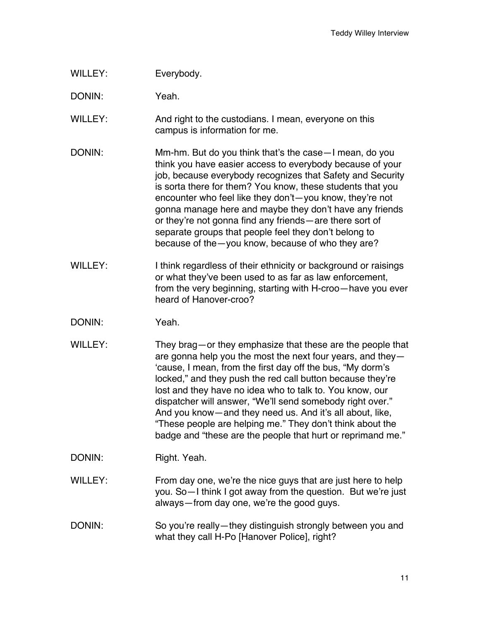WILLEY: Everybody.

DONIN: Yeah.

WILLEY: And right to the custodians. I mean, everyone on this campus is information for me.

- DONIN: Mm-hm. But do you think that's the case—I mean, do you think you have easier access to everybody because of your job, because everybody recognizes that Safety and Security is sorta there for them? You know, these students that you encounter who feel like they don't—you know, they're not gonna manage here and maybe they don't have any friends or they're not gonna find any friends—are there sort of separate groups that people feel they don't belong to because of the—you know, because of who they are?
- WILLEY: I think regardless of their ethnicity or background or raisings or what they've been used to as far as law enforcement, from the very beginning, starting with H-croo—have you ever heard of Hanover-croo?
- DONIN: Yeah.
- WILLEY: They brag—or they emphasize that these are the people that are gonna help you the most the next four years, and they— 'cause, I mean, from the first day off the bus, "My dorm's locked," and they push the red call button because they're lost and they have no idea who to talk to. You know, our dispatcher will answer, "We'll send somebody right over." And you know—and they need us. And it's all about, like, "These people are helping me." They don't think about the badge and "these are the people that hurt or reprimand me."
- DONIN: Right. Yeah.
- WILLEY: From day one, we're the nice guys that are just here to help you. So—I think I got away from the question. But we're just always—from day one, we're the good guys.
- DONIN: So you're really—they distinguish strongly between you and what they call H-Po [Hanover Police], right?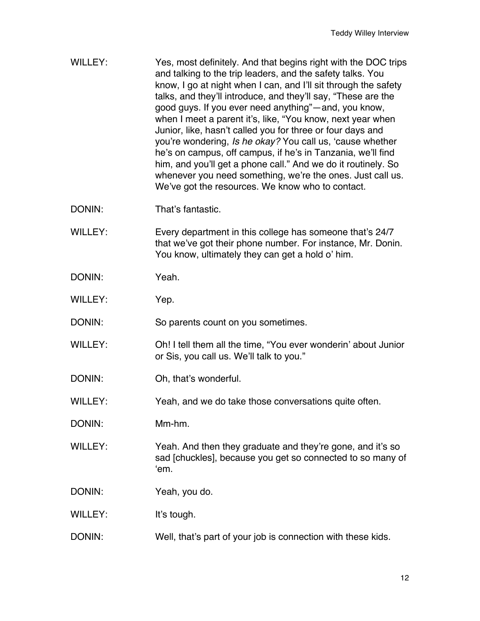| WILLEY:        | Yes, most definitely. And that begins right with the DOC trips<br>and talking to the trip leaders, and the safety talks. You<br>know, I go at night when I can, and I'll sit through the safety<br>talks, and they'll introduce, and they'll say, "These are the<br>good guys. If you ever need anything"—and, you know,<br>when I meet a parent it's, like, "You know, next year when<br>Junior, like, hasn't called you for three or four days and<br>you're wondering, Is he okay? You call us, 'cause whether<br>he's on campus, off campus, if he's in Tanzania, we'll find<br>him, and you'll get a phone call." And we do it routinely. So<br>whenever you need something, we're the ones. Just call us.<br>We've got the resources. We know who to contact. |
|----------------|---------------------------------------------------------------------------------------------------------------------------------------------------------------------------------------------------------------------------------------------------------------------------------------------------------------------------------------------------------------------------------------------------------------------------------------------------------------------------------------------------------------------------------------------------------------------------------------------------------------------------------------------------------------------------------------------------------------------------------------------------------------------|
| DONIN:         | That's fantastic.                                                                                                                                                                                                                                                                                                                                                                                                                                                                                                                                                                                                                                                                                                                                                   |
| <b>WILLEY:</b> | Every department in this college has someone that's 24/7<br>that we've got their phone number. For instance, Mr. Donin.<br>You know, ultimately they can get a hold o' him.                                                                                                                                                                                                                                                                                                                                                                                                                                                                                                                                                                                         |
| DONIN:         | Yeah.                                                                                                                                                                                                                                                                                                                                                                                                                                                                                                                                                                                                                                                                                                                                                               |
| <b>WILLEY:</b> | Yep.                                                                                                                                                                                                                                                                                                                                                                                                                                                                                                                                                                                                                                                                                                                                                                |
| DONIN:         | So parents count on you sometimes.                                                                                                                                                                                                                                                                                                                                                                                                                                                                                                                                                                                                                                                                                                                                  |
| <b>WILLEY:</b> | Oh! I tell them all the time, "You ever wonderin' about Junior<br>or Sis, you call us. We'll talk to you."                                                                                                                                                                                                                                                                                                                                                                                                                                                                                                                                                                                                                                                          |
| DONIN:         | Oh, that's wonderful.                                                                                                                                                                                                                                                                                                                                                                                                                                                                                                                                                                                                                                                                                                                                               |
| <b>WILLEY:</b> | Yeah, and we do take those conversations quite often.                                                                                                                                                                                                                                                                                                                                                                                                                                                                                                                                                                                                                                                                                                               |
| DONIN:         | Mm-hm.                                                                                                                                                                                                                                                                                                                                                                                                                                                                                                                                                                                                                                                                                                                                                              |
| WILLEY:        | Yeah. And then they graduate and they're gone, and it's so<br>sad [chuckles], because you get so connected to so many of<br>'em.                                                                                                                                                                                                                                                                                                                                                                                                                                                                                                                                                                                                                                    |
| DONIN:         | Yeah, you do.                                                                                                                                                                                                                                                                                                                                                                                                                                                                                                                                                                                                                                                                                                                                                       |
| <b>WILLEY:</b> | It's tough.                                                                                                                                                                                                                                                                                                                                                                                                                                                                                                                                                                                                                                                                                                                                                         |
| DONIN:         | Well, that's part of your job is connection with these kids.                                                                                                                                                                                                                                                                                                                                                                                                                                                                                                                                                                                                                                                                                                        |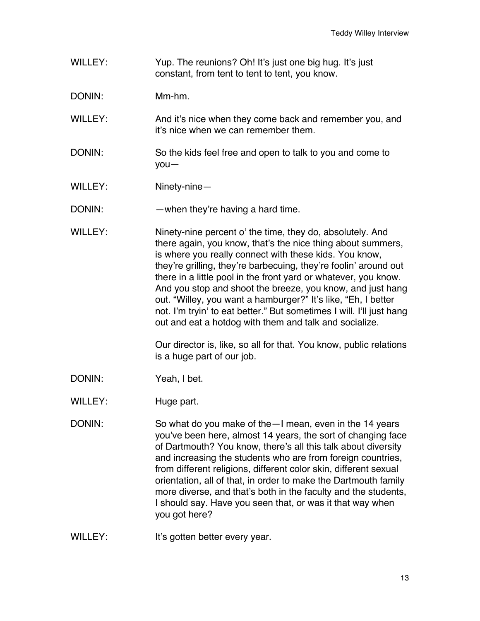- WILLEY: Yup. The reunions? Oh! It's just one big hug. It's just constant, from tent to tent to tent, you know.
- DONIN: Mm-hm.
- WILLEY: And it's nice when they come back and remember you, and it's nice when we can remember them.
- DONIN: So the kids feel free and open to talk to you and come to you—
- WILLEY: Ninety-nine—
- DONIN: when they're having a hard time.
- WILLEY: Ninety-nine percent o' the time, they do, absolutely. And there again, you know, that's the nice thing about summers, is where you really connect with these kids. You know, they're grilling, they're barbecuing, they're foolin' around out there in a little pool in the front yard or whatever, you know. And you stop and shoot the breeze, you know, and just hang out. "Willey, you want a hamburger?" It's like, "Eh, I better not. I'm tryin' to eat better." But sometimes I will. I'll just hang out and eat a hotdog with them and talk and socialize.

Our director is, like, so all for that. You know, public relations is a huge part of our job.

- DONIN: Yeah, I bet.
- WILLEY: Huge part.
- DONIN: So what do you make of the—I mean, even in the 14 years you've been here, almost 14 years, the sort of changing face of Dartmouth? You know, there's all this talk about diversity and increasing the students who are from foreign countries, from different religions, different color skin, different sexual orientation, all of that, in order to make the Dartmouth family more diverse, and that's both in the faculty and the students, I should say. Have you seen that, or was it that way when you got here?
- WILLEY: It's gotten better every year.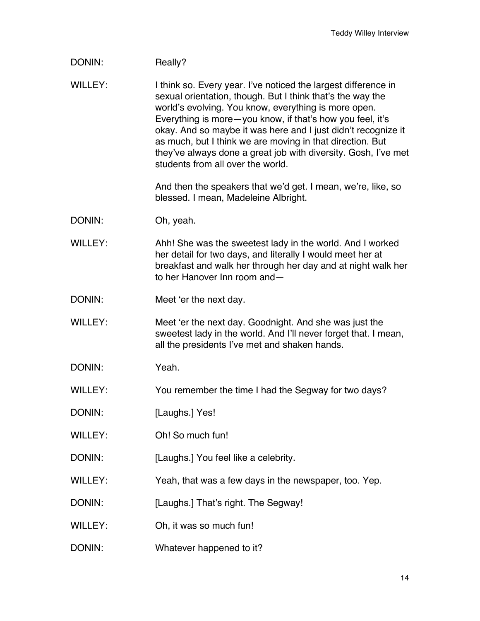## DONIN: Really?

WILLEY: I think so. Every year. I've noticed the largest difference in sexual orientation, though. But I think that's the way the world's evolving. You know, everything is more open. Everything is more—you know, if that's how you feel, it's okay. And so maybe it was here and I just didn't recognize it as much, but I think we are moving in that direction. But they've always done a great job with diversity. Gosh, I've met students from all over the world.

> And then the speakers that we'd get. I mean, we're, like, so blessed. I mean, Madeleine Albright.

- DONIN: Oh, yeah.
- WILLEY: Ahh! She was the sweetest lady in the world. And I worked her detail for two days, and literally I would meet her at breakfast and walk her through her day and at night walk her to her Hanover Inn room and—
- DONIN: Meet 'er the next day.
- WILLEY: Meet 'er the next day. Goodnight. And she was just the sweetest lady in the world. And I'll never forget that. I mean, all the presidents I've met and shaken hands.
- DONIN: Yeah.
- WILLEY: You remember the time I had the Segway for two days?
- DONIN: [Laughs.] Yes!
- WILLEY: Oh! So much fun!
- DONIN: [Laughs.] You feel like a celebrity.
- WILLEY: Yeah, that was a few days in the newspaper, too. Yep.
- DONIN: [Laughs.] That's right. The Segway!
- WILLEY: Oh, it was so much fun!
- DONIN: Whatever happened to it?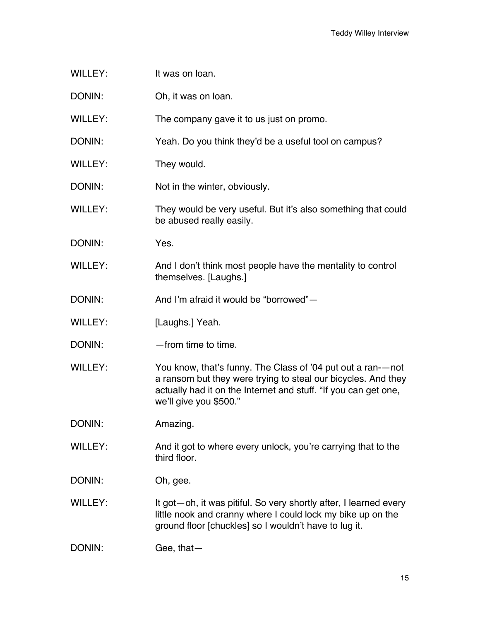- WILLEY: It was on loan.
- DONIN: Oh, it was on loan.
- WILLEY: The company gave it to us just on promo.
- DONIN: Yeah. Do you think they'd be a useful tool on campus?
- WILLEY: They would.
- DONIN: Not in the winter, obviously.
- WILLEY: They would be very useful. But it's also something that could be abused really easily.
- DONIN: Yes.
- WILLEY: And I don't think most people have the mentality to control themselves. [Laughs.]
- DONIN: And I'm afraid it would be "borrowed"—
- WILLEY: [Laughs.] Yeah.
- DONIN: — from time to time.
- WILLEY: You know, that's funny. The Class of '04 put out a ran-—not a ransom but they were trying to steal our bicycles. And they actually had it on the Internet and stuff. "If you can get one, we'll give you \$500."
- DONIN: Amazing.
- WILLEY: And it got to where every unlock, you're carrying that to the third floor.
- DONIN: Oh, gee.
- WILLEY: It got—oh, it was pitiful. So very shortly after, I learned every little nook and cranny where I could lock my bike up on the ground floor [chuckles] so I wouldn't have to lug it.
- DONIN: Gee, that-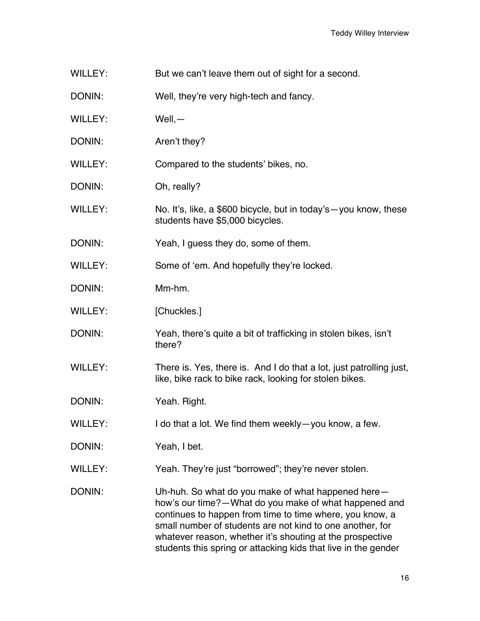- WILLEY: But we can't leave them out of sight for a second.
- DONIN: Well, they're very high-tech and fancy.
- WILLEY: Well,—
- DONIN: Aren't they?
- WILLEY: Compared to the students' bikes, no.
- DONIN: Oh, really?
- WILLEY: No. It's, like, a \$600 bicycle, but in today's you know, these students have \$5,000 bicycles.
- DONIN: Yeah, I guess they do, some of them.
- WILLEY: Some of 'em. And hopefully they're locked.
- DONIN: Mm-hm.
- WILLEY: [Chuckles.]
- DONIN: Yeah, there's quite a bit of trafficking in stolen bikes, isn't there?
- WILLEY: There is. Yes, there is. And I do that a lot, just patrolling just, like, bike rack to bike rack, looking for stolen bikes.
- DONIN: Yeah. Right.
- WILLEY: I do that a lot. We find them weekly-you know, a few.
- DONIN: Yeah, I bet.
- WILLEY: Yeah. They're just "borrowed"; they're never stolen.
- DONIN: Uh-huh. So what do you make of what happened herehow's our time?—What do you make of what happened and continues to happen from time to time where, you know, a small number of students are not kind to one another, for whatever reason, whether it's shouting at the prospective students this spring or attacking kids that live in the gender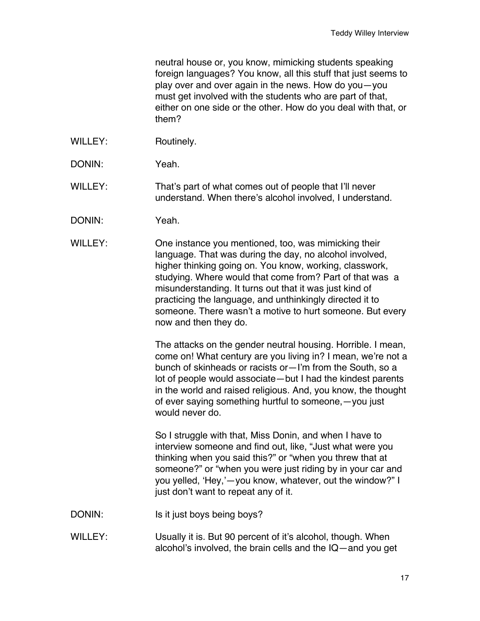neutral house or, you know, mimicking students speaking foreign languages? You know, all this stuff that just seems to play over and over again in the news. How do you—you must get involved with the students who are part of that, either on one side or the other. How do you deal with that, or them?

- WILLEY: Routinely.
- DONIN: Yeah.

WILLEY: That's part of what comes out of people that I'll never understand. When there's alcohol involved, I understand.

- DONIN: Yeah.
- WILLEY: One instance you mentioned, too, was mimicking their language. That was during the day, no alcohol involved, higher thinking going on. You know, working, classwork, studying. Where would that come from? Part of that was a misunderstanding. It turns out that it was just kind of practicing the language, and unthinkingly directed it to someone. There wasn't a motive to hurt someone. But every now and then they do.

The attacks on the gender neutral housing. Horrible. I mean, come on! What century are you living in? I mean, we're not a bunch of skinheads or racists or—I'm from the South, so a lot of people would associate—but I had the kindest parents in the world and raised religious. And, you know, the thought of ever saying something hurtful to someone,—you just would never do.

So I struggle with that, Miss Donin, and when I have to interview someone and find out, like, "Just what were you thinking when you said this?" or "when you threw that at someone?" or "when you were just riding by in your car and you yelled, 'Hey,'—you know, whatever, out the window?" I just don't want to repeat any of it.

- DONIN: Is it just boys being boys?
- WILLEY: Usually it is. But 90 percent of it's alcohol, though. When alcohol's involved, the brain cells and the IQ—and you get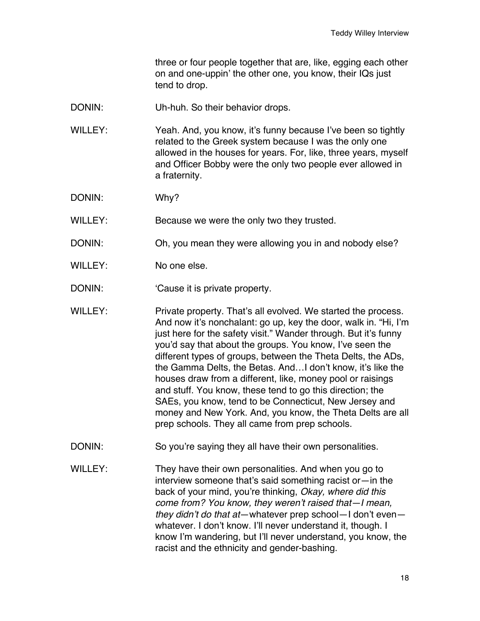three or four people together that are, like, egging each other on and one-uppin' the other one, you know, their IQs just tend to drop.

- DONIN: Uh-huh. So their behavior drops.
- WILLEY: Yeah. And, you know, it's funny because I've been so tightly related to the Greek system because I was the only one allowed in the houses for years. For, like, three years, myself and Officer Bobby were the only two people ever allowed in a fraternity.
- DONIN: Why?
- WILLEY: Because we were the only two they trusted.
- DONIN: Oh, you mean they were allowing you in and nobody else?
- WILLEY: No one else.
- DONIN: 'Cause it is private property.
- WILLEY: Private property. That's all evolved. We started the process. And now it's nonchalant: go up, key the door, walk in. "Hi, I'm just here for the safety visit." Wander through. But it's funny you'd say that about the groups. You know, I've seen the different types of groups, between the Theta Delts, the ADs, the Gamma Delts, the Betas. And…I don't know, it's like the houses draw from a different, like, money pool or raisings and stuff. You know, these tend to go this direction; the SAEs, you know, tend to be Connecticut, New Jersey and money and New York. And, you know, the Theta Delts are all prep schools. They all came from prep schools.
- DONIN: So you're saying they all have their own personalities.
- WILLEY: They have their own personalities. And when you go to interview someone that's said something racist or—in the back of your mind, you're thinking, *Okay, where did this come from? You know, they weren't raised that—I mean, they didn't do that at*—whatever prep school—I don't even whatever. I don't know. I'll never understand it, though. I know I'm wandering, but I'll never understand, you know, the racist and the ethnicity and gender-bashing.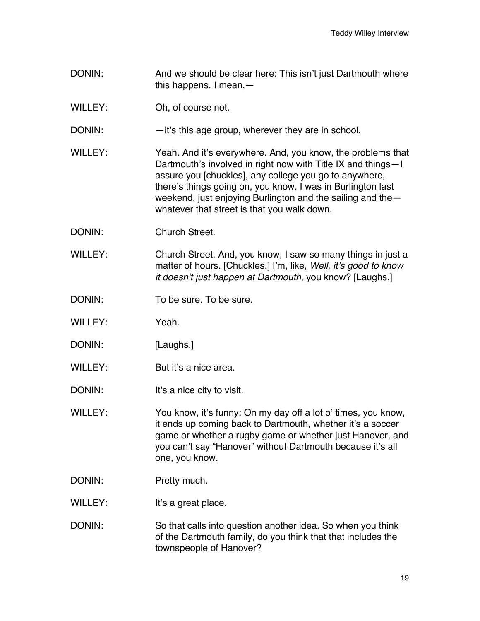- DONIN: And we should be clear here: This isn't just Dartmouth where this happens. I mean,—
- WILLEY: Oh, of course not.
- DONIN: —it's this age group, wherever they are in school.
- WILLEY: Yeah. And it's everywhere. And, you know, the problems that Dartmouth's involved in right now with Title IX and things—I assure you [chuckles], any college you go to anywhere, there's things going on, you know. I was in Burlington last weekend, just enjoying Burlington and the sailing and the whatever that street is that you walk down.
- DONIN: Church Street.
- WILLEY: Church Street. And, you know, I saw so many things in just a matter of hours. [Chuckles.] I'm, like, *Well, it's good to know it doesn't just happen at Dartmouth*, you know? [Laughs.]
- DONIN: To be sure. To be sure.
- WILLEY: Yeah.
- DONIN: [Laughs.]
- WILLEY: But it's a nice area.
- DONIN: It's a nice city to visit.
- WILLEY: You know, it's funny: On my day off a lot o' times, you know, it ends up coming back to Dartmouth, whether it's a soccer game or whether a rugby game or whether just Hanover, and you can't say "Hanover" without Dartmouth because it's all one, you know.
- DONIN: Pretty much.
- WILLEY: It's a great place.
- DONIN: So that calls into question another idea. So when you think of the Dartmouth family, do you think that that includes the townspeople of Hanover?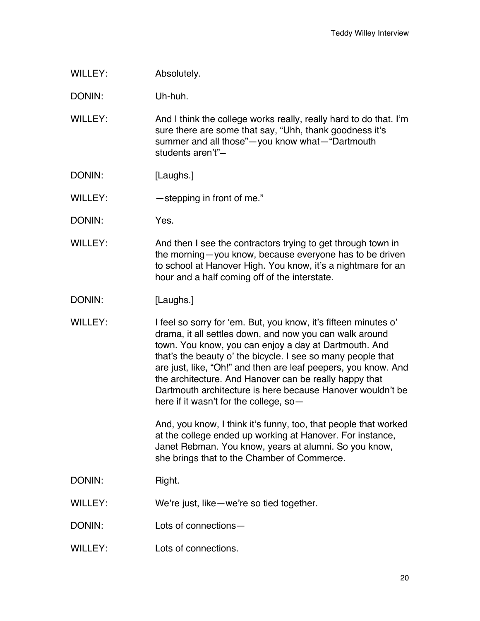WILLEY: Absolutely.

DONIN: Uh-huh.

WILLEY: And I think the college works really, really hard to do that. I'm sure there are some that say, "Uhh, thank goodness it's summer and all those"—you know what—"Dartmouth students aren't"—

- DONIN: [Laughs.]
- WILLEY: stepping in front of me."
- DONIN: Yes.
- WILLEY: And then I see the contractors trying to get through town in the morning—you know, because everyone has to be driven to school at Hanover High. You know, it's a nightmare for an hour and a half coming off of the interstate.
- DONIN: [Laughs.]
- WILLEY: I feel so sorry for 'em. But, you know, it's fifteen minutes o' drama, it all settles down, and now you can walk around town. You know, you can enjoy a day at Dartmouth. And that's the beauty o' the bicycle. I see so many people that are just, like, "Oh!" and then are leaf peepers, you know. And the architecture. And Hanover can be really happy that Dartmouth architecture is here because Hanover wouldn't be here if it wasn't for the college, so—

And, you know, I think it's funny, too, that people that worked at the college ended up working at Hanover. For instance, Janet Rebman. You know, years at alumni. So you know, she brings that to the Chamber of Commerce.

- DONIN: Right.
- WILLEY: We're just, like—we're so tied together.
- DONIN: Lots of connections—
- WILLEY: Lots of connections.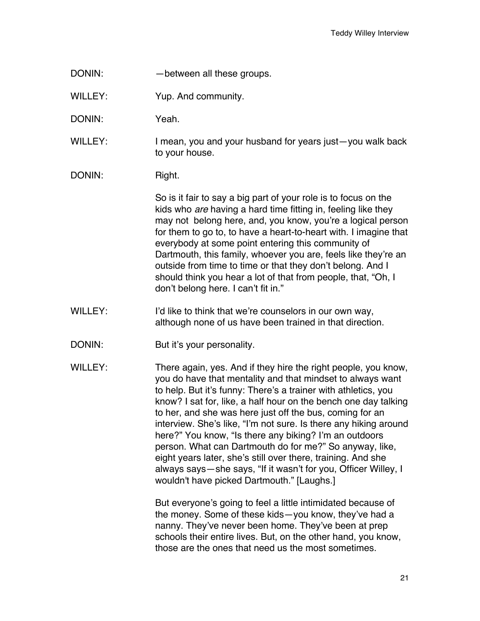DONIN: — between all these groups.

WILLEY: Yup. And community.

DONIN: Yeah.

- WILLEY: I mean, you and your husband for years just—you walk back to your house.
- DONIN: Right.

So is it fair to say a big part of your role is to focus on the kids who *are* having a hard time fitting in, feeling like they may not belong here, and, you know, you're a logical person for them to go to, to have a heart-to-heart with. I imagine that everybody at some point entering this community of Dartmouth, this family, whoever you are, feels like they're an outside from time to time or that they don't belong. And I should think you hear a lot of that from people, that, "Oh, I don't belong here. I can't fit in."

- WILLEY: I'd like to think that we're counselors in our own way, although none of us have been trained in that direction.
- DONIN: But it's your personality.
- WILLEY: There again, yes. And if they hire the right people, you know, you do have that mentality and that mindset to always want to help. But it's funny: There's a trainer with athletics, you know? I sat for, like, a half hour on the bench one day talking to her, and she was here just off the bus, coming for an interview. She's like, "I'm not sure. Is there any hiking around here?" You know, "Is there any biking? I'm an outdoors person. What can Dartmouth do for me?" So anyway, like, eight years later, she's still over there, training. And she always says—she says, "If it wasn't for you, Officer Willey, I wouldn't have picked Dartmouth." [Laughs.]

But everyone's going to feel a little intimidated because of the money. Some of these kids—you know, they've had a nanny. They've never been home. They've been at prep schools their entire lives. But, on the other hand, you know, those are the ones that need us the most sometimes.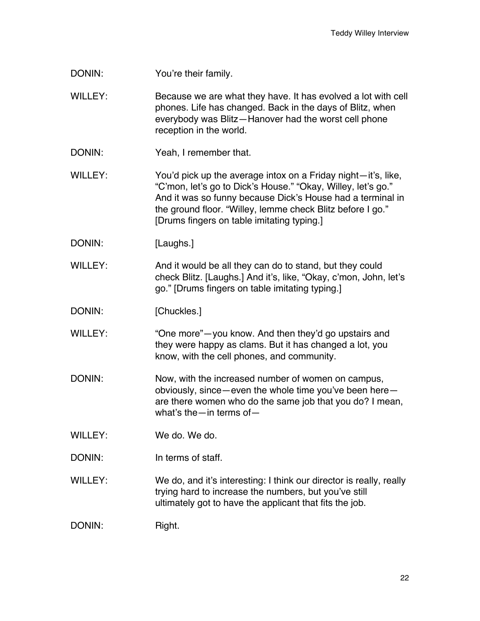DONIN: You're their family.

WILLEY: Because we are what they have. It has evolved a lot with cell phones. Life has changed. Back in the days of Blitz, when everybody was Blitz—Hanover had the worst cell phone reception in the world.

DONIN: Yeah, I remember that.

WILLEY: You'd pick up the average intox on a Friday night—it's, like, "C'mon, let's go to Dick's House." "Okay, Willey, let's go." And it was so funny because Dick's House had a terminal in the ground floor. "Willey, lemme check Blitz before I go." [Drums fingers on table imitating typing.]

DONIN: [Laughs.]

WILLEY: And it would be all they can do to stand, but they could check Blitz. [Laughs.] And it's, like, "Okay, c'mon, John, let's go." [Drums fingers on table imitating typing.]

DONIN: [Chuckles.]

WILLEY: "One more"—you know. And then they'd go upstairs and they were happy as clams. But it has changed a lot, you know, with the cell phones, and community.

DONIN: Now, with the increased number of women on campus, obviously, since—even the whole time you've been here are there women who do the same job that you do? I mean, what's the—in terms of—

- WILLEY: We do. We do.
- DONIN: In terms of staff.

WILLEY: We do, and it's interesting: I think our director is really, really trying hard to increase the numbers, but you've still ultimately got to have the applicant that fits the job.

DONIN: Right.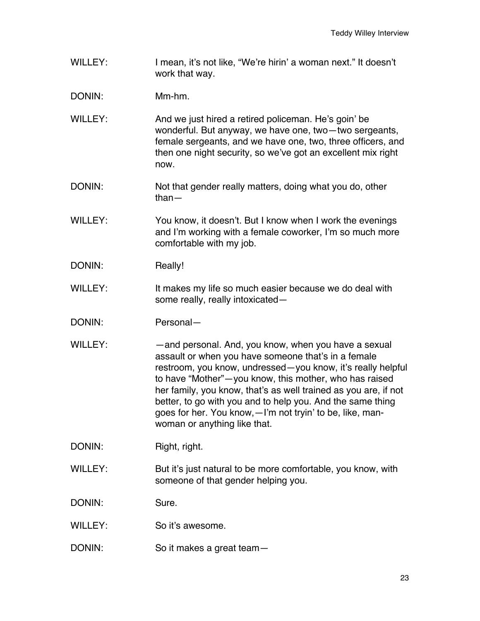- WILLEY: I mean, it's not like, "We're hirin' a woman next." It doesn't work that way.
- DONIN: Mm-hm.
- WILLEY: And we just hired a retired policeman. He's goin' be wonderful. But anyway, we have one, two—two sergeants, female sergeants, and we have one, two, three officers, and then one night security, so we've got an excellent mix right now.
- DONIN: Not that gender really matters, doing what you do, other than—
- WILLEY: You know, it doesn't. But I know when I work the evenings and I'm working with a female coworker, I'm so much more comfortable with my job.
- DONIN: Really!
- WILLEY: It makes my life so much easier because we do deal with some really, really intoxicated—
- DONIN: Personal—
- WILLEY: — and personal. And, you know, when you have a sexual assault or when you have someone that's in a female restroom, you know, undressed—you know, it's really helpful to have "Mother"—you know, this mother, who has raised her family, you know, that's as well trained as you are, if not better, to go with you and to help you. And the same thing goes for her. You know,—I'm not tryin' to be, like, manwoman or anything like that.

DONIN: Right, right.

WILLEY: But it's just natural to be more comfortable, you know, with someone of that gender helping you.

DONIN: Sure.

- WILLEY: So it's awesome.
- DONIN: So it makes a great team-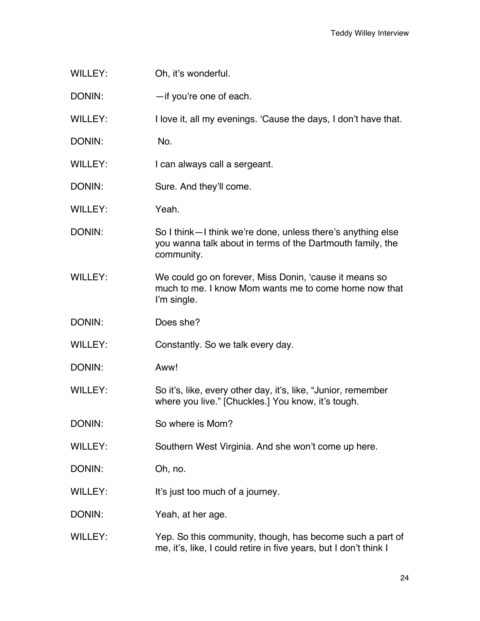- WILLEY: Oh, it's wonderful.
- DONIN: — if you're one of each.
- WILLEY: I love it, all my evenings. 'Cause the days, I don't have that.
- DONIN: No.
- WILLEY: I can always call a sergeant.
- DONIN: Sure. And they'll come.
- WILLEY: Yeah
- DONIN: So I think—I think we're done, unless there's anything else you wanna talk about in terms of the Dartmouth family, the community.
- WILLEY: We could go on forever, Miss Donin, 'cause it means so much to me. I know Mom wants me to come home now that I'm single.
- DONIN: Does she?
- WILLEY: Constantly. So we talk every day.
- DONIN: Aww!
- WILLEY: So it's, like, every other day, it's, like, "Junior, remember where you live." [Chuckles.] You know, it's tough.
- DONIN: So where is Mom?
- WILLEY: Southern West Virginia. And she won't come up here.
- DONIN: Oh, no.
- WILLEY: It's just too much of a journey.
- DONIN: Yeah, at her age.
- WILLEY: Yep. So this community, though, has become such a part of me, it's, like, I could retire in five years, but I don't think I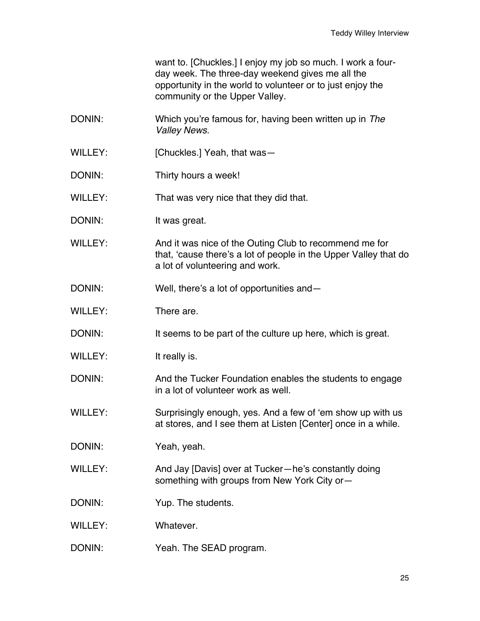want to. [Chuckles.] I enjoy my job so much. I work a fourday week. The three-day weekend gives me all the opportunity in the world to volunteer or to just enjoy the community or the Upper Valley.

- DONIN: Which you're famous for, having been written up in *The Valley News*.
- WILLEY: [Chuckles.] Yeah, that was-
- DONIN: Thirty hours a week!
- WILLEY: That was very nice that they did that.
- DONIN: It was great.
- WILLEY: And it was nice of the Outing Club to recommend me for that, 'cause there's a lot of people in the Upper Valley that do a lot of volunteering and work.
- DONIN: Well, there's a lot of opportunities and—
- WILLEY: There are
- DONIN: It seems to be part of the culture up here, which is great.
- WILLEY: It really is.
- DONIN: And the Tucker Foundation enables the students to engage in a lot of volunteer work as well.
- WILLEY: Surprisingly enough, yes. And a few of 'em show up with us at stores, and I see them at Listen [Center] once in a while.
- DONIN: Yeah, yeah.
- WILLEY: And Jay [Davis] over at Tucker-he's constantly doing something with groups from New York City or—
- DONIN: Yup. The students.
- WILLEY: Whatever.
- DONIN: Yeah. The SEAD program.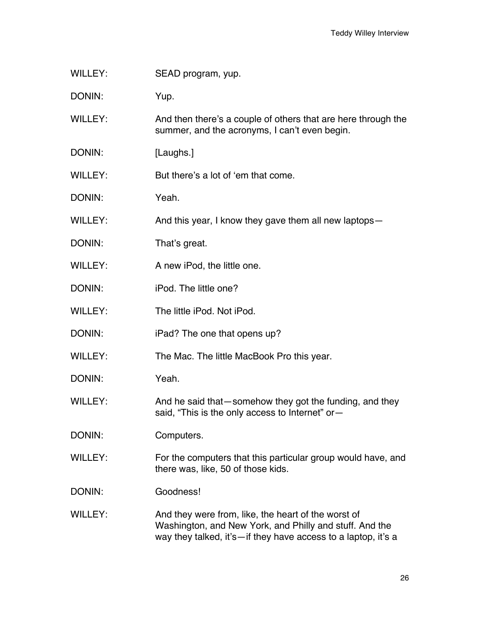WILLEY: SEAD program, yup.

DONIN: Yup.

WILLEY: And then there's a couple of others that are here through the summer, and the acronyms, I can't even begin.

DONIN: [Laughs.]

WILLEY: But there's a lot of 'em that come.

- DONIN: Yeah.
- WILLEY: And this year, I know they gave them all new laptops—
- DONIN: That's great.
- WILLEY: A new iPod, the little one.
- DONIN: iPod. The little one?
- WILLEY: The little iPod. Not iPod.
- DONIN: iPad? The one that opens up?
- WILLEY: The Mac. The little MacBook Pro this year.
- DONIN: Yeah.
- WILLEY: And he said that—somehow they got the funding, and they said, "This is the only access to Internet" or-
- DONIN: Computers.
- WILLEY: For the computers that this particular group would have, and there was, like, 50 of those kids.
- DONIN: Goodness!
- WILLEY: And they were from, like, the heart of the worst of Washington, and New York, and Philly and stuff. And the way they talked, it's—if they have access to a laptop, it's a